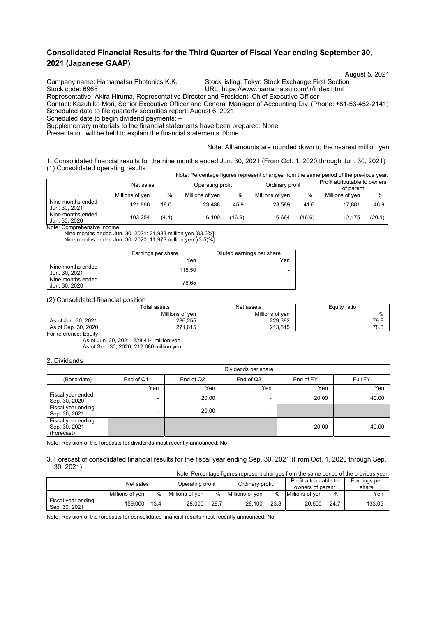# **Consolidated Financial Results for the Third Quarter of Fiscal Year ending September 30, 2021 (Japanese GAAP)**

Company name: Hamamatsu Photonics K.K. Stock listing: Tokyo Stock Exchange First Section<br>Stock code: 6965 Stock Code: 6965

August 5, 2021<br>Company name: Hamamatsu Photonics K.K. Stock listing: Tokyo Stock Exchange First Section

URL: https://www.hamamatsu.com/ir/index.html

Representative: Akira Hiruma, Representative Director and President, Chief Executive Officer

Contact: Kazuhiko Mori, Senior Executive Officer and General Manager of Accounting Div. (Phone: +81-53-452-2141) Scheduled date to file quarterly securities report: August 6, 2021

Scheduled date to begin dividend payments: –

Supplementary materials to the financial statements have been prepared: None

Presentation will be held to explain the financial statements: None

Note: All amounts are rounded down to the nearest million yen

1. Consolidated financial results for the nine months ended Jun. 30, 2021 (From Oct. 1, 2020 through Jun. 30, 2021) (1) Consolidated operating results Note: Percentage figures represent changes from the same period of the previous year.

| TVOIG. FUICULIQUE TIQUIUS TUDIUSUIL CHATIQUS TIONI LITUS SANTU DUNIU OF LITU DI UNUS VUAL. |                 |       |                  |        |                 |        |                                            |        |
|--------------------------------------------------------------------------------------------|-----------------|-------|------------------|--------|-----------------|--------|--------------------------------------------|--------|
|                                                                                            | Net sales       |       | Operating profit |        | Ordinary profit |        | Profit attributable to owners<br>of parent |        |
|                                                                                            | Millions of yen | $\%$  | Millions of yen  | $\%$   | Millions of yen | %      | Millions of yen                            | $\%$   |
| Nine months ended<br>Jun. 30, 2021                                                         | 121.866         | 18.0  | 23.488           | 45.9   | 23.589          | 41.6   | 17.881                                     | 46.9   |
| Nine months ended<br>Jun. 30, 2020                                                         | 103.254         | (4.4) | 16.100           | (16.9) | 16.664          | (16.6) | 12.175                                     | (20.1) |

Note: Comprehensive income

Nine months ended Jun. 30, 2021: 21,983 million yen [83.6%] Nine months ended Jun. 30, 2020: 11,973 million yen [(3.5)%]

|                                    | Earnings per share | Diluted earnings per share |
|------------------------------------|--------------------|----------------------------|
|                                    | Yen                | Yen                        |
| Nine months ended<br>Jun. 30, 2021 | 115.50             | -                          |
| Nine months ended<br>Jun. 30, 2020 | 78.65              | -                          |

#### (2) Consolidated financial position

|                     | Total assets    | Net assets      | Equity ratio |  |
|---------------------|-----------------|-----------------|--------------|--|
|                     | Millions of ven | Millions of ven | %            |  |
| As of Jun. 30, 2021 | 286,255         | 229.382         | 79.8         |  |
| As of Sep. 30, 2020 | 271.615         | 213.515         | 78.3         |  |

For reference: Equity

As of Jun. 30, 2021: 228,414 million yen As of Sep. 30, 2020: 212,680 million yen

#### 2. Dividends

|                                                   | Dividends per share                 |       |           |         |       |  |  |  |
|---------------------------------------------------|-------------------------------------|-------|-----------|---------|-------|--|--|--|
| (Base date)                                       | End of Q2<br>End of Q3<br>End of Q1 |       | End of FY | Full FY |       |  |  |  |
|                                                   | Yen                                 | Yen   | Yen       | Yen     | Yen   |  |  |  |
| Fiscal year ended<br>Sep. 30, 2020                | $\overline{\phantom{0}}$            | 20.00 | -         | 20.00   | 40.00 |  |  |  |
| Fiscal year ending<br>Sep. 30, 2021               | ۰                                   | 20.00 | -         |         |       |  |  |  |
| Fiscal year ending<br>Sep. 30, 2021<br>(Forecast) |                                     |       |           | 20.00   | 40.00 |  |  |  |

Note: Revision of the forecasts for dividends most recently announced: No

<sup>3.</sup> Forecast of consolidated financial results for the fiscal year ending Sep. 30, 2021 (From Oct. 1, 2020 through Sep. 30, 2021) Note: Percentage figures represent changes from the same period of the previous year.

|                                     | TVOIG. FUICULIQUE TIQUIUS TUDIUSUIL CHATIQUES TIONIT LITUS SANTU DENOU OF LITUS PUBLICI. |      |                  |      |                 |      |                                            |      |                       |  |
|-------------------------------------|------------------------------------------------------------------------------------------|------|------------------|------|-----------------|------|--------------------------------------------|------|-----------------------|--|
|                                     | Net sales                                                                                |      | Operating profit |      | Ordinary profit |      | Profit attributable to<br>owners of parent |      | Earnings per<br>share |  |
|                                     | Millions of ven                                                                          | %    | Millions of yen  | $\%$ | Millions of ven | %    | Millions of ven                            | %    | Yen                   |  |
| Fiscal year ending<br>Sep. 30, 2021 | 159.000                                                                                  | 13.4 | 28.000           | 28.7 | 28.100          | 23.8 | 20.600                                     | 24.7 | 133.05                |  |

Note: Revision of the forecasts for consolidated financial results most recently announced: No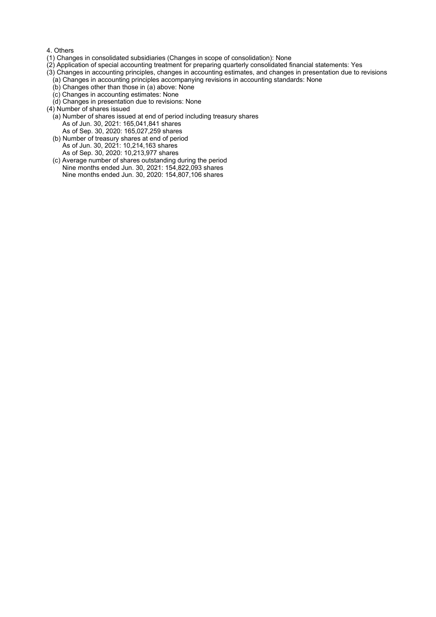#### 4. Others

- (1) Changes in consolidated subsidiaries (Changes in scope of consolidation): None
- (2) Application of special accounting treatment for preparing quarterly consolidated financial statements: Yes
- (3) Changes in accounting principles, changes in accounting estimates, and changes in presentation due to revisions
- (a) Changes in accounting principles accompanying revisions in accounting standards: None
- (b) Changes other than those in (a) above: None
- (c) Changes in accounting estimates: None
- (d) Changes in presentation due to revisions: None
- (4) Number of shares issued
	- (a) Number of shares issued at end of period including treasury shares As of Jun. 30, 2021: 165,041,841 shares As of Sep. 30, 2020: 165,027,259 shares
	- (b) Number of treasury shares at end of period As of Jun. 30, 2021: 10,214,163 shares As of Sep. 30, 2020: 10,213,977 shares
	- (c) Average number of shares outstanding during the period Nine months ended Jun. 30, 2021: 154,822,093 shares Nine months ended Jun. 30, 2020: 154,807,106 shares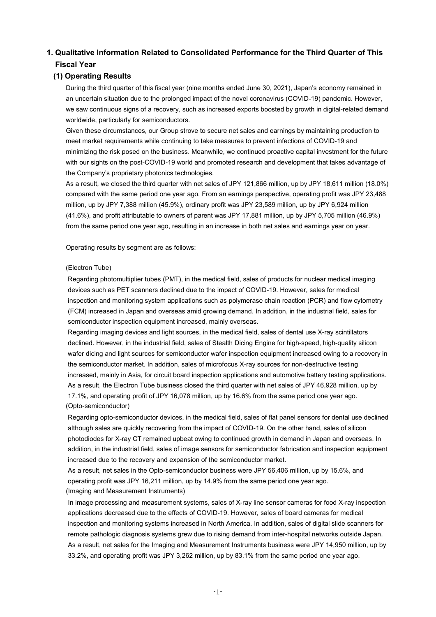# **1. Qualitative Information Related to Consolidated Performance for the Third Quarter of This Fiscal Year**

## **(1) Operating Results**

During the third quarter of this fiscal year (nine months ended June 30, 2021), Japan's economy remained in an uncertain situation due to the prolonged impact of the novel coronavirus (COVID-19) pandemic. However, we saw continuous signs of a recovery, such as increased exports boosted by growth in digital-related demand worldwide, particularly for semiconductors.

Given these circumstances, our Group strove to secure net sales and earnings by maintaining production to meet market requirements while continuing to take measures to prevent infections of COVID-19 and minimizing the risk posed on the business. Meanwhile, we continued proactive capital investment for the future with our sights on the post-COVID-19 world and promoted research and development that takes advantage of the Company's proprietary photonics technologies.

As a result, we closed the third quarter with net sales of JPY 121,866 million, up by JPY 18,611 million (18.0%) compared with the same period one year ago. From an earnings perspective, operating profit was JPY 23,488 million, up by JPY 7,388 million (45.9%), ordinary profit was JPY 23,589 million, up by JPY 6,924 million (41.6%), and profit attributable to owners of parent was JPY 17,881 million, up by JPY 5,705 million (46.9%) from the same period one year ago, resulting in an increase in both net sales and earnings year on year.

Operating results by segment are as follows:

### (Electron Tube)

Regarding photomultiplier tubes (PMT), in the medical field, sales of products for nuclear medical imaging devices such as PET scanners declined due to the impact of COVID-19. However, sales for medical inspection and monitoring system applications such as polymerase chain reaction (PCR) and flow cytometry (FCM) increased in Japan and overseas amid growing demand. In addition, in the industrial field, sales for semiconductor inspection equipment increased, mainly overseas.

Regarding imaging devices and light sources, in the medical field, sales of dental use X-ray scintillators declined. However, in the industrial field, sales of Stealth Dicing Engine for high-speed, high-quality silicon wafer dicing and light sources for semiconductor wafer inspection equipment increased owing to a recovery in the semiconductor market. In addition, sales of microfocus X-ray sources for non-destructive testing increased, mainly in Asia, for circuit board inspection applications and automotive battery testing applications. As a result, the Electron Tube business closed the third quarter with net sales of JPY 46,928 million, up by 17.1%, and operating profit of JPY 16,078 million, up by 16.6% from the same period one year ago. (Opto-semiconductor)

Regarding opto-semiconductor devices, in the medical field, sales of flat panel sensors for dental use declined although sales are quickly recovering from the impact of COVID-19. On the other hand, sales of silicon photodiodes for X-ray CT remained upbeat owing to continued growth in demand in Japan and overseas. In addition, in the industrial field, sales of image sensors for semiconductor fabrication and inspection equipment increased due to the recovery and expansion of the semiconductor market.

As a result, net sales in the Opto-semiconductor business were JPY 56,406 million, up by 15.6%, and operating profit was JPY 16,211 million, up by 14.9% from the same period one year ago. (Imaging and Measurement Instruments)

In image processing and measurement systems, sales of X-ray line sensor cameras for food X-ray inspection applications decreased due to the effects of COVID-19. However, sales of board cameras for medical inspection and monitoring systems increased in North America. In addition, sales of digital slide scanners for remote pathologic diagnosis systems grew due to rising demand from inter-hospital networks outside Japan. As a result, net sales for the Imaging and Measurement Instruments business were JPY 14,950 million, up by 33.2%, and operating profit was JPY 3,262 million, up by 83.1% from the same period one year ago.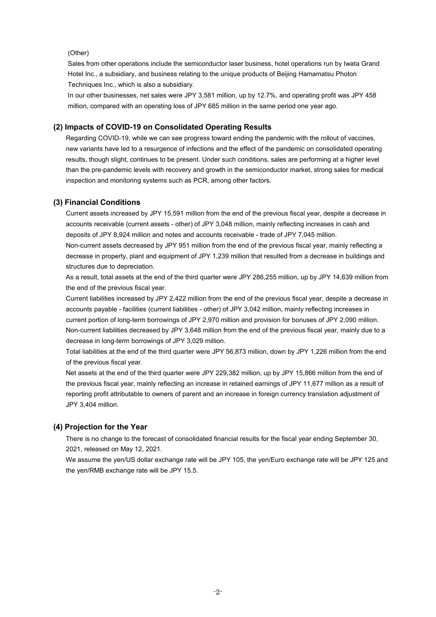### (Other)

Sales from other operations include the semiconductor laser business, hotel operations run by Iwata Grand Hotel Inc., a subsidiary, and business relating to the unique products of Beijing Hamamatsu Photon Techniques Inc., which is also a subsidiary.

In our other businesses, net sales were JPY 3,581 million, up by 12.7%, and operating profit was JPY 458 million, compared with an operating loss of JPY 685 million in the same period one year ago.

### **(2) Impacts of COVID-19 on Consolidated Operating Results**

Regarding COVID-19, while we can see progress toward ending the pandemic with the rollout of vaccines, new variants have led to a resurgence of infections and the effect of the pandemic on consolidated operating results, though slight, continues to be present. Under such conditions, sales are performing at a higher level than the pre-pandemic levels with recovery and growth in the semiconductor market, strong sales for medical inspection and monitoring systems such as PCR, among other factors.

#### **(3) Financial Conditions**

Current assets increased by JPY 15,591 million from the end of the previous fiscal year, despite a decrease in accounts receivable (current assets - other) of JPY 3,048 million, mainly reflecting increases in cash and deposits of JPY 8,924 million and notes and accounts receivable - trade of JPY 7,045 million.

Non-current assets decreased by JPY 951 million from the end of the previous fiscal year, mainly reflecting a decrease in property, plant and equipment of JPY 1,239 million that resulted from a decrease in buildings and structures due to depreciation.

As a result, total assets at the end of the third quarter were JPY 286,255 million, up by JPY 14,639 million from the end of the previous fiscal year.

Current liabilities increased by JPY 2,422 million from the end of the previous fiscal year, despite a decrease in accounts payable - facilities (current liabilities - other) of JPY 3,042 million, mainly reflecting increases in current portion of long-term borrowings of JPY 2,970 million and provision for bonuses of JPY 2,090 million. Non-current liabilities decreased by JPY 3,648 million from the end of the previous fiscal year, mainly due to a decrease in long-term borrowings of JPY 3,029 million.

Total liabilities at the end of the third quarter were JPY 56,873 million, down by JPY 1,226 million from the end of the previous fiscal year.

Net assets at the end of the third quarter were JPY 229,382 million, up by JPY 15,866 million from the end of the previous fiscal year, mainly reflecting an increase in retained earnings of JPY 11,677 million as a result of reporting profit attributable to owners of parent and an increase in foreign currency translation adjustment of JPY 3,404 million.

#### **(4) Projection for the Year**

There is no change to the forecast of consolidated financial results for the fiscal year ending September 30, 2021, released on May 12, 2021.

We assume the yen/US dollar exchange rate will be JPY 105, the yen/Euro exchange rate will be JPY 125 and the yen/RMB exchange rate will be JPY 15.5.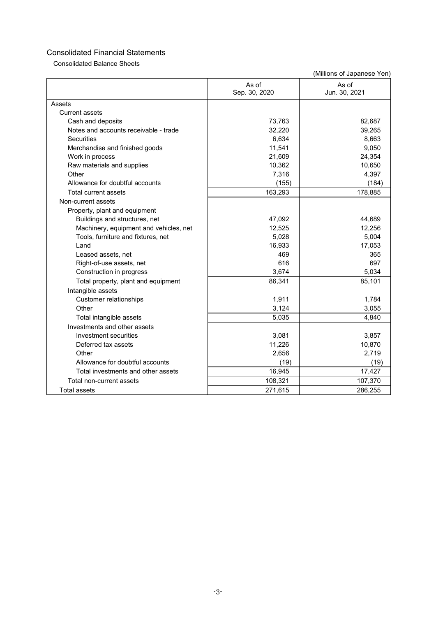Consolidated Balance Sheets

|                                        | As of<br>Sep. 30, 2020 | As of<br>Jun. 30, 2021 |
|----------------------------------------|------------------------|------------------------|
| Assets                                 |                        |                        |
| <b>Current assets</b>                  |                        |                        |
| Cash and deposits                      | 73,763                 | 82,687                 |
| Notes and accounts receivable - trade  | 32,220                 | 39,265                 |
| <b>Securities</b>                      | 6,634                  | 8,663                  |
| Merchandise and finished goods         | 11,541                 | 9,050                  |
| Work in process                        | 21,609                 | 24,354                 |
| Raw materials and supplies             | 10,362                 | 10,650                 |
| Other                                  | 7,316                  | 4,397                  |
| Allowance for doubtful accounts        | (155)                  | (184)                  |
| Total current assets                   | 163,293                | 178,885                |
| Non-current assets                     |                        |                        |
| Property, plant and equipment          |                        |                        |
| Buildings and structures, net          | 47,092                 | 44,689                 |
| Machinery, equipment and vehicles, net | 12,525                 | 12,256                 |
| Tools, furniture and fixtures, net     | 5,028                  | 5,004                  |
| Land                                   | 16,933                 | 17,053                 |
| Leased assets, net                     | 469                    | 365                    |
| Right-of-use assets, net               | 616                    | 697                    |
| Construction in progress               | 3,674                  | 5,034                  |
| Total property, plant and equipment    | 86,341                 | 85,101                 |
| Intangible assets                      |                        |                        |
| <b>Customer relationships</b>          | 1,911                  | 1,784                  |
| Other                                  | 3,124                  | 3,055                  |
| Total intangible assets                | 5,035                  | 4.840                  |
| Investments and other assets           |                        |                        |
| Investment securities                  | 3,081                  | 3,857                  |
| Deferred tax assets                    | 11,226                 | 10,870                 |
| Other                                  | 2,656                  | 2,719                  |
| Allowance for doubtful accounts        | (19)                   | (19)                   |
| Total investments and other assets     | 16,945                 | 17,427                 |
| Total non-current assets               | 108,321                | 107,370                |
| <b>Total assets</b>                    | 271,615                | 286,255                |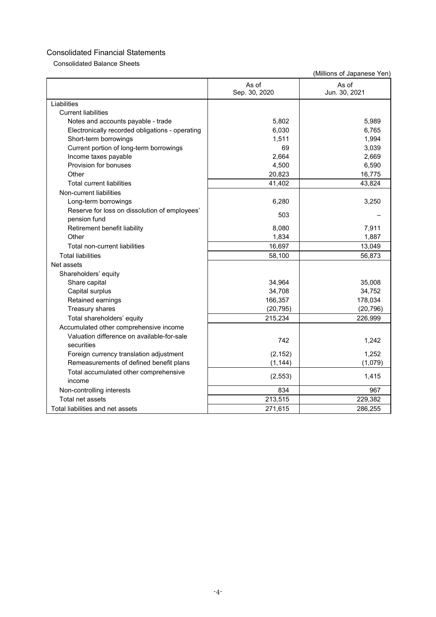Consolidated Balance Sheets

| As of<br>As of<br>Sep. 30, 2020<br>Jun. 30, 2021<br>Liabilities<br><b>Current liabilities</b><br>5,802<br>5,989<br>Notes and accounts payable - trade<br>6,030<br>6,765<br>Electronically recorded obligations - operating<br>1,511<br>1,994<br>Short-term borrowings<br>Current portion of long-term borrowings<br>69<br>3,039<br>2,664<br>Income taxes payable<br>2,669<br>Provision for bonuses<br>6,590<br>4,500<br>Other<br>20,823<br>16,775<br>43,824<br><b>Total current liabilities</b><br>41,402<br>Non-current liabilities<br>6,280<br>3,250<br>Long-term borrowings<br>Reserve for loss on dissolution of employees'<br>503<br>pension fund<br>8,080<br>7,911<br>Retirement benefit liability<br>Other<br>1,834<br>1,887<br>16,697<br>13,049<br>Total non-current liabilities<br><b>Total liabilities</b><br>56,873<br>58,100<br>Net assets<br>Shareholders' equity<br>Share capital<br>34,964<br>35,008<br>Capital surplus<br>34,708<br>34,752<br>Retained earnings<br>166,357<br>178,034<br>Treasury shares<br>(20, 795)<br>(20, 796)<br>215,234<br>Total shareholders' equity<br>226,999<br>Accumulated other comprehensive income<br>Valuation difference on available-for-sale<br>742<br>1,242<br>securities<br>(2, 152)<br>1,252<br>Foreign currency translation adjustment<br>Remeasurements of defined benefit plans<br>(1, 144)<br>(1,079)<br>Total accumulated other comprehensive<br>(2, 553)<br>1,415<br>income<br>834<br>967<br>Non-controlling interests<br>213,515<br>229,382<br>Total net assets<br>Total liabilities and net assets<br>271.615<br>286,255 |  |  |
|---------------------------------------------------------------------------------------------------------------------------------------------------------------------------------------------------------------------------------------------------------------------------------------------------------------------------------------------------------------------------------------------------------------------------------------------------------------------------------------------------------------------------------------------------------------------------------------------------------------------------------------------------------------------------------------------------------------------------------------------------------------------------------------------------------------------------------------------------------------------------------------------------------------------------------------------------------------------------------------------------------------------------------------------------------------------------------------------------------------------------------------------------------------------------------------------------------------------------------------------------------------------------------------------------------------------------------------------------------------------------------------------------------------------------------------------------------------------------------------------------------------------------------------------------------------------------------------|--|--|
|                                                                                                                                                                                                                                                                                                                                                                                                                                                                                                                                                                                                                                                                                                                                                                                                                                                                                                                                                                                                                                                                                                                                                                                                                                                                                                                                                                                                                                                                                                                                                                                       |  |  |
|                                                                                                                                                                                                                                                                                                                                                                                                                                                                                                                                                                                                                                                                                                                                                                                                                                                                                                                                                                                                                                                                                                                                                                                                                                                                                                                                                                                                                                                                                                                                                                                       |  |  |
|                                                                                                                                                                                                                                                                                                                                                                                                                                                                                                                                                                                                                                                                                                                                                                                                                                                                                                                                                                                                                                                                                                                                                                                                                                                                                                                                                                                                                                                                                                                                                                                       |  |  |
|                                                                                                                                                                                                                                                                                                                                                                                                                                                                                                                                                                                                                                                                                                                                                                                                                                                                                                                                                                                                                                                                                                                                                                                                                                                                                                                                                                                                                                                                                                                                                                                       |  |  |
|                                                                                                                                                                                                                                                                                                                                                                                                                                                                                                                                                                                                                                                                                                                                                                                                                                                                                                                                                                                                                                                                                                                                                                                                                                                                                                                                                                                                                                                                                                                                                                                       |  |  |
|                                                                                                                                                                                                                                                                                                                                                                                                                                                                                                                                                                                                                                                                                                                                                                                                                                                                                                                                                                                                                                                                                                                                                                                                                                                                                                                                                                                                                                                                                                                                                                                       |  |  |
|                                                                                                                                                                                                                                                                                                                                                                                                                                                                                                                                                                                                                                                                                                                                                                                                                                                                                                                                                                                                                                                                                                                                                                                                                                                                                                                                                                                                                                                                                                                                                                                       |  |  |
|                                                                                                                                                                                                                                                                                                                                                                                                                                                                                                                                                                                                                                                                                                                                                                                                                                                                                                                                                                                                                                                                                                                                                                                                                                                                                                                                                                                                                                                                                                                                                                                       |  |  |
|                                                                                                                                                                                                                                                                                                                                                                                                                                                                                                                                                                                                                                                                                                                                                                                                                                                                                                                                                                                                                                                                                                                                                                                                                                                                                                                                                                                                                                                                                                                                                                                       |  |  |
|                                                                                                                                                                                                                                                                                                                                                                                                                                                                                                                                                                                                                                                                                                                                                                                                                                                                                                                                                                                                                                                                                                                                                                                                                                                                                                                                                                                                                                                                                                                                                                                       |  |  |
|                                                                                                                                                                                                                                                                                                                                                                                                                                                                                                                                                                                                                                                                                                                                                                                                                                                                                                                                                                                                                                                                                                                                                                                                                                                                                                                                                                                                                                                                                                                                                                                       |  |  |
|                                                                                                                                                                                                                                                                                                                                                                                                                                                                                                                                                                                                                                                                                                                                                                                                                                                                                                                                                                                                                                                                                                                                                                                                                                                                                                                                                                                                                                                                                                                                                                                       |  |  |
|                                                                                                                                                                                                                                                                                                                                                                                                                                                                                                                                                                                                                                                                                                                                                                                                                                                                                                                                                                                                                                                                                                                                                                                                                                                                                                                                                                                                                                                                                                                                                                                       |  |  |
|                                                                                                                                                                                                                                                                                                                                                                                                                                                                                                                                                                                                                                                                                                                                                                                                                                                                                                                                                                                                                                                                                                                                                                                                                                                                                                                                                                                                                                                                                                                                                                                       |  |  |
|                                                                                                                                                                                                                                                                                                                                                                                                                                                                                                                                                                                                                                                                                                                                                                                                                                                                                                                                                                                                                                                                                                                                                                                                                                                                                                                                                                                                                                                                                                                                                                                       |  |  |
|                                                                                                                                                                                                                                                                                                                                                                                                                                                                                                                                                                                                                                                                                                                                                                                                                                                                                                                                                                                                                                                                                                                                                                                                                                                                                                                                                                                                                                                                                                                                                                                       |  |  |
|                                                                                                                                                                                                                                                                                                                                                                                                                                                                                                                                                                                                                                                                                                                                                                                                                                                                                                                                                                                                                                                                                                                                                                                                                                                                                                                                                                                                                                                                                                                                                                                       |  |  |
|                                                                                                                                                                                                                                                                                                                                                                                                                                                                                                                                                                                                                                                                                                                                                                                                                                                                                                                                                                                                                                                                                                                                                                                                                                                                                                                                                                                                                                                                                                                                                                                       |  |  |
|                                                                                                                                                                                                                                                                                                                                                                                                                                                                                                                                                                                                                                                                                                                                                                                                                                                                                                                                                                                                                                                                                                                                                                                                                                                                                                                                                                                                                                                                                                                                                                                       |  |  |
|                                                                                                                                                                                                                                                                                                                                                                                                                                                                                                                                                                                                                                                                                                                                                                                                                                                                                                                                                                                                                                                                                                                                                                                                                                                                                                                                                                                                                                                                                                                                                                                       |  |  |
|                                                                                                                                                                                                                                                                                                                                                                                                                                                                                                                                                                                                                                                                                                                                                                                                                                                                                                                                                                                                                                                                                                                                                                                                                                                                                                                                                                                                                                                                                                                                                                                       |  |  |
|                                                                                                                                                                                                                                                                                                                                                                                                                                                                                                                                                                                                                                                                                                                                                                                                                                                                                                                                                                                                                                                                                                                                                                                                                                                                                                                                                                                                                                                                                                                                                                                       |  |  |
|                                                                                                                                                                                                                                                                                                                                                                                                                                                                                                                                                                                                                                                                                                                                                                                                                                                                                                                                                                                                                                                                                                                                                                                                                                                                                                                                                                                                                                                                                                                                                                                       |  |  |
|                                                                                                                                                                                                                                                                                                                                                                                                                                                                                                                                                                                                                                                                                                                                                                                                                                                                                                                                                                                                                                                                                                                                                                                                                                                                                                                                                                                                                                                                                                                                                                                       |  |  |
|                                                                                                                                                                                                                                                                                                                                                                                                                                                                                                                                                                                                                                                                                                                                                                                                                                                                                                                                                                                                                                                                                                                                                                                                                                                                                                                                                                                                                                                                                                                                                                                       |  |  |
|                                                                                                                                                                                                                                                                                                                                                                                                                                                                                                                                                                                                                                                                                                                                                                                                                                                                                                                                                                                                                                                                                                                                                                                                                                                                                                                                                                                                                                                                                                                                                                                       |  |  |
|                                                                                                                                                                                                                                                                                                                                                                                                                                                                                                                                                                                                                                                                                                                                                                                                                                                                                                                                                                                                                                                                                                                                                                                                                                                                                                                                                                                                                                                                                                                                                                                       |  |  |
|                                                                                                                                                                                                                                                                                                                                                                                                                                                                                                                                                                                                                                                                                                                                                                                                                                                                                                                                                                                                                                                                                                                                                                                                                                                                                                                                                                                                                                                                                                                                                                                       |  |  |
|                                                                                                                                                                                                                                                                                                                                                                                                                                                                                                                                                                                                                                                                                                                                                                                                                                                                                                                                                                                                                                                                                                                                                                                                                                                                                                                                                                                                                                                                                                                                                                                       |  |  |
|                                                                                                                                                                                                                                                                                                                                                                                                                                                                                                                                                                                                                                                                                                                                                                                                                                                                                                                                                                                                                                                                                                                                                                                                                                                                                                                                                                                                                                                                                                                                                                                       |  |  |
|                                                                                                                                                                                                                                                                                                                                                                                                                                                                                                                                                                                                                                                                                                                                                                                                                                                                                                                                                                                                                                                                                                                                                                                                                                                                                                                                                                                                                                                                                                                                                                                       |  |  |
|                                                                                                                                                                                                                                                                                                                                                                                                                                                                                                                                                                                                                                                                                                                                                                                                                                                                                                                                                                                                                                                                                                                                                                                                                                                                                                                                                                                                                                                                                                                                                                                       |  |  |
|                                                                                                                                                                                                                                                                                                                                                                                                                                                                                                                                                                                                                                                                                                                                                                                                                                                                                                                                                                                                                                                                                                                                                                                                                                                                                                                                                                                                                                                                                                                                                                                       |  |  |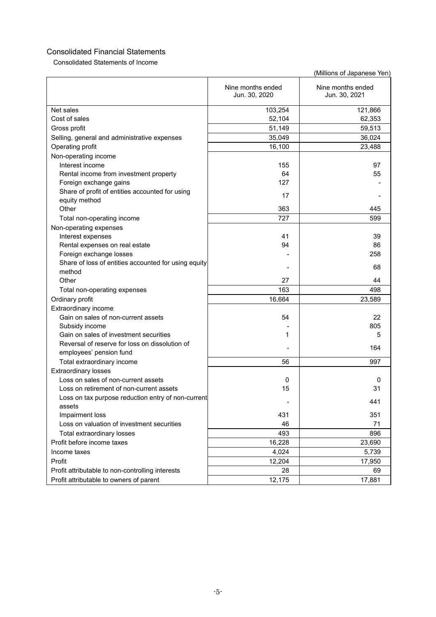Consolidated Statements of Income

|                                                      | Nine months ended<br>Jun. 30, 2020 | Nine months ended<br>Jun. 30, 2021 |
|------------------------------------------------------|------------------------------------|------------------------------------|
| Net sales                                            | 103,254                            | 121,866                            |
| Cost of sales                                        | 52,104                             | 62,353                             |
| Gross profit                                         | 51,149                             | 59,513                             |
| Selling, general and administrative expenses         | 35,049                             | 36,024                             |
| Operating profit                                     | 16,100                             | 23,488                             |
| Non-operating income                                 |                                    |                                    |
| Interest income                                      | 155                                | 97                                 |
| Rental income from investment property               | 64                                 | 55                                 |
| Foreign exchange gains                               | 127                                |                                    |
| Share of profit of entities accounted for using      |                                    |                                    |
| equity method                                        | 17                                 |                                    |
| Other                                                | 363                                | 445                                |
| Total non-operating income                           | 727                                | 599                                |
| Non-operating expenses                               |                                    |                                    |
| Interest expenses                                    | 41                                 | 39                                 |
| Rental expenses on real estate                       | 94                                 | 86                                 |
| Foreign exchange losses                              |                                    | 258                                |
| Share of loss of entities accounted for using equity |                                    |                                    |
| method                                               |                                    | 68                                 |
| Other                                                | 27                                 | 44                                 |
| Total non-operating expenses                         | 163                                | 498                                |
| Ordinary profit                                      | 16,664                             | 23,589                             |
| Extraordinary income                                 |                                    |                                    |
| Gain on sales of non-current assets                  | 54                                 | 22                                 |
| Subsidy income                                       |                                    | 805                                |
| Gain on sales of investment securities               | 1                                  | 5                                  |
| Reversal of reserve for loss on dissolution of       |                                    |                                    |
| employees' pension fund                              |                                    | 164                                |
| Total extraordinary income                           | 56                                 | 997                                |
| <b>Extraordinary losses</b>                          |                                    |                                    |
| Loss on sales of non-current assets                  | 0                                  | 0                                  |
| Loss on retirement of non-current assets             | 15                                 | 31                                 |
| Loss on tax purpose reduction entry of non-current   |                                    |                                    |
| assets                                               |                                    | 441                                |
| Impairment loss                                      | 431                                | 351                                |
| Loss on valuation of investment securities           | 46                                 | 71                                 |
| Total extraordinary losses                           | 493                                | 896                                |
| Profit before income taxes                           | 16,228                             | 23,690                             |
| Income taxes                                         | 4,024                              | 5,739                              |
| Profit                                               | 12,204                             | 17,950                             |
| Profit attributable to non-controlling interests     | 28                                 | 69                                 |
| Profit attributable to owners of parent              | 12,175                             | 17,881                             |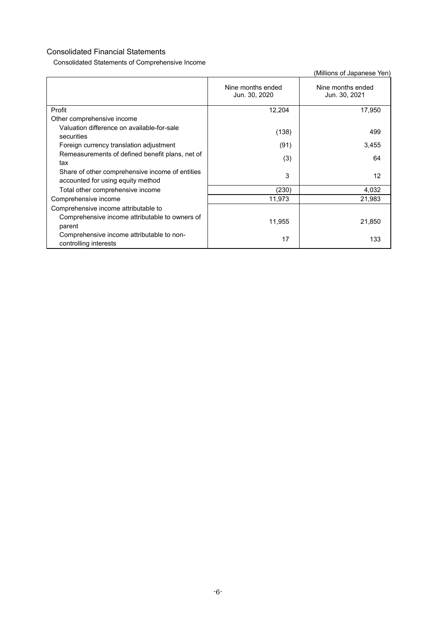Consolidated Statements of Comprehensive Income

|                                                                                      | Nine months ended<br>Jun. 30, 2020 | Nine months ended<br>Jun. 30, 2021 |
|--------------------------------------------------------------------------------------|------------------------------------|------------------------------------|
| Profit                                                                               | 12,204                             | 17,950                             |
| Other comprehensive income                                                           |                                    |                                    |
| Valuation difference on available-for-sale<br>securities                             | (138)                              | 499                                |
| Foreign currency translation adjustment                                              | (91)                               | 3,455                              |
| Remeasurements of defined benefit plans, net of<br>tax                               | (3)                                | 64                                 |
| Share of other comprehensive income of entities<br>accounted for using equity method | 3                                  | 12                                 |
| Total other comprehensive income                                                     | (230)                              | 4,032                              |
| Comprehensive income                                                                 | 11,973                             | 21,983                             |
| Comprehensive income attributable to                                                 |                                    |                                    |
| Comprehensive income attributable to owners of<br>parent                             | 11,955                             | 21,850                             |
| Comprehensive income attributable to non-<br>controlling interests                   | 17                                 | 133                                |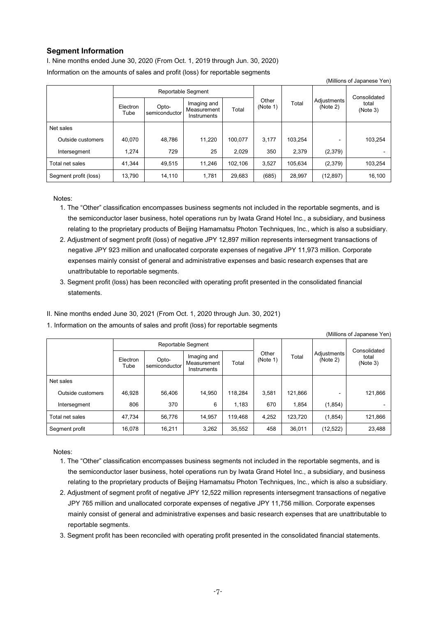## **Segment Information**

I. Nine months ended June 30, 2020 (From Oct. 1, 2019 through Jun. 30, 2020) Information on the amounts of sales and profit (loss) for reportable segments

| $\frac{1}{2}$         |                  |                        |                                           |         |                   |         |                         |                                   |
|-----------------------|------------------|------------------------|-------------------------------------------|---------|-------------------|---------|-------------------------|-----------------------------------|
| Reportable Segment    |                  |                        |                                           |         |                   |         |                         |                                   |
|                       | Electron<br>Tube | Opto-<br>semiconductor | Imaging and<br>Measurement<br>Instruments | Total   | Other<br>(Note 1) | Total   | Adjustments<br>(Note 2) | Consolidated<br>total<br>(Note 3) |
| Net sales             |                  |                        |                                           |         |                   |         |                         |                                   |
| Outside customers     | 40.070           | 48,786                 | 11,220                                    | 100.077 | 3.177             | 103.254 |                         | 103,254                           |
| Intersegment          | 1.274            | 729                    | 25                                        | 2,029   | 350               | 2.379   | (2,379)                 |                                   |
| Total net sales       | 41.344           | 49.515                 | 11.246                                    | 102.106 | 3,527             | 105.634 | (2,379)                 | 103,254                           |
| Segment profit (loss) | 13,790           | 14,110                 | 1,781                                     | 29,683  | (685)             | 28.997  | (12, 897)               | 16,100                            |

(Millions of Japanese Yen)

Notes:

- 1. The "Other" classification encompasses business segments not included in the reportable segments, and is the semiconductor laser business, hotel operations run by Iwata Grand Hotel Inc., a subsidiary, and business relating to the proprietary products of Beijing Hamamatsu Photon Techniques, Inc., which is also a subsidiary.
- 2. Adjustment of segment profit (loss) of negative JPY 12,897 million represents intersegment transactions of negative JPY 923 million and unallocated corporate expenses of negative JPY 11,973 million. Corporate expenses mainly consist of general and administrative expenses and basic research expenses that are unattributable to reportable segments.
- 3. Segment profit (loss) has been reconciled with operating profit presented in the consolidated financial statements.
- II. Nine months ended June 30, 2021 (From Oct. 1, 2020 through Jun. 30, 2021)
- 1. Information on the amounts of sales and profit (loss) for reportable segments

| (Millions of Japanese Yen) |                  |                        |                                           |         |                   |         |                         |                                   |
|----------------------------|------------------|------------------------|-------------------------------------------|---------|-------------------|---------|-------------------------|-----------------------------------|
| Reportable Segment         |                  |                        |                                           |         |                   |         |                         |                                   |
|                            | Electron<br>Tube | Opto-<br>semiconductor | Imaging and<br>Measurement<br>Instruments | Total   | Other<br>(Note 1) | Total   | Adjustments<br>(Note 2) | Consolidated<br>total<br>(Note 3) |
| Net sales                  |                  |                        |                                           |         |                   |         |                         |                                   |
| Outside customers          | 46,928           | 56,406                 | 14,950                                    | 118.284 | 3,581             | 121,866 |                         | 121,866                           |
| Intersegment               | 806              | 370                    | 6                                         | 1,183   | 670               | 1,854   | (1,854)                 |                                   |
| Total net sales            | 47,734           | 56,776                 | 14,957                                    | 119,468 | 4,252             | 123,720 | (1, 854)                | 121,866                           |
| Segment profit             | 16.078           | 16,211                 | 3,262                                     | 35,552  | 458               | 36.011  | (12, 522)               | 23,488                            |

Notes:

- 1. The "Other" classification encompasses business segments not included in the reportable segments, and is the semiconductor laser business, hotel operations run by Iwata Grand Hotel Inc., a subsidiary, and business relating to the proprietary products of Beijing Hamamatsu Photon Techniques, Inc., which is also a subsidiary.
- 2. Adjustment of segment profit of negative JPY 12,522 million represents intersegment transactions of negative JPY 765 million and unallocated corporate expenses of negative JPY 11,756 million. Corporate expenses mainly consist of general and administrative expenses and basic research expenses that are unattributable to reportable segments.
- 3. Segment profit has been reconciled with operating profit presented in the consolidated financial statements.